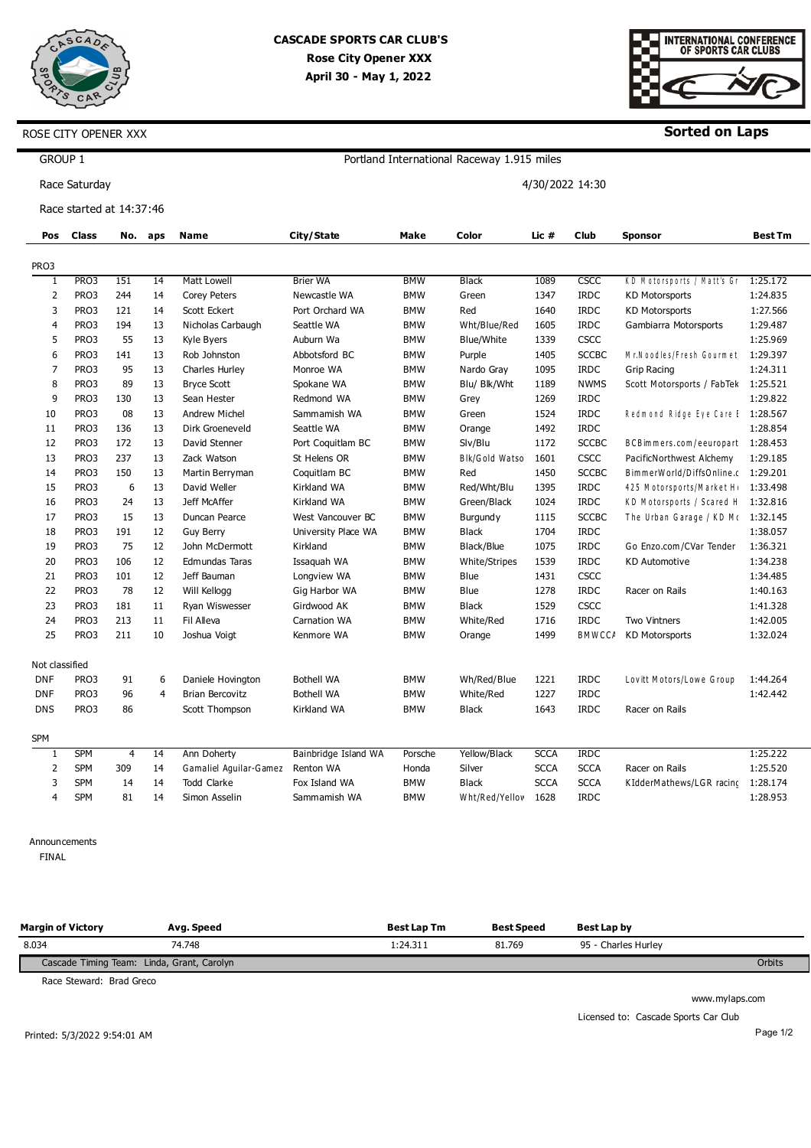

# **CASCADE SPORTS CAR CLUB'S Rose City Opener XXX April 30 - May 1, 2022**



**Sorted on Laps**

#### ROSE CITY OPENER XXX

GROUP 1

Race Saturday

Race started at 14:37:46

| Pos            | <b>Class</b>      | No. | aps            | <b>Name</b>                                 | City/State           | Make       | Color           | Lic #       | Club          | <b>Sponsor</b>                        | <b>Best Tm</b> |
|----------------|-------------------|-----|----------------|---------------------------------------------|----------------------|------------|-----------------|-------------|---------------|---------------------------------------|----------------|
| PRO3           |                   |     |                |                                             |                      |            |                 |             |               |                                       |                |
| 1              | PR <sub>O</sub> 3 | 151 | 14             | Matt Lowell                                 | <b>Brier WA</b>      | <b>BMW</b> | <b>Black</b>    | 1089        | CSCC          | KD Motorsports / Matt's Gr            | 1:25.172       |
| 2              | PRO3              | 244 | 14             | <b>Corey Peters</b>                         | Newcastle WA         | <b>BMW</b> | Green           | 1347        | <b>IRDC</b>   | <b>KD Motorsports</b>                 | 1:24.835       |
| 3              | PRO3              | 121 | 14             | Scott Eckert                                | Port Orchard WA      | <b>BMW</b> | Red             | 1640        | <b>IRDC</b>   | <b>KD Motorsports</b>                 | 1:27.566       |
| $\overline{4}$ | PRO3              | 194 | 13             | Nicholas Carbaugh                           | Seattle WA           | <b>BMW</b> | Wht/Blue/Red    | 1605        | <b>IRDC</b>   | Gambiarra Motorsports                 | 1:29.487       |
| 5              | PRO3              | 55  | 13             | Kyle Byers                                  | Auburn Wa            | <b>BMW</b> | Blue/White      | 1339        | <b>CSCC</b>   |                                       | 1:25.969       |
| 6              | PRO3              | 141 | 13             | Rob Johnston                                | Abbotsford BC        | <b>BMW</b> | Purple          | 1405        | <b>SCCBC</b>  | Mr.Noodles/Fresh Gourmet              | 1:29.397       |
| 7              | PRO3              | 95  | 13             | <b>Charles Hurley</b>                       | Monroe WA            | <b>BMW</b> | Nardo Gray      | 1095        | <b>IRDC</b>   | Grip Racing                           | 1:24.311       |
| 8              | PRO3              | 89  | 13             | <b>Bryce Scott</b>                          | Spokane WA           | <b>BMW</b> | Blu/ Blk/Wht    | 1189        | <b>NWMS</b>   | Scott Motorsports / FabTek 1:25.521   |                |
| 9              | PRO3              | 130 | 13             | Sean Hester                                 | Redmond WA           | <b>BMW</b> | Grey            | 1269        | <b>IRDC</b>   |                                       | 1:29.822       |
| 10             | PRO3              | 08  | 13             | <b>Andrew Michel</b>                        | Sammamish WA         | <b>BMW</b> | Green           | 1524        | <b>IRDC</b>   | Redmond Ridge Eye Care E 1:28.567     |                |
| 11             | PRO3              | 136 | 13             | Dirk Groeneveld                             | Seattle WA           | <b>BMW</b> | Orange          | 1492        | <b>IRDC</b>   |                                       | 1:28.854       |
| 12             | PRO3              | 172 | 13             | David Stenner                               | Port Coquitlam BC    | <b>BMW</b> | Slv/Blu         | 1172        | <b>SCCBC</b>  | BCBimmers.com/eeuropart 1:28.453      |                |
| 13             | PRO3              | 237 | 13             | Zack Watson                                 | St Helens OR         | <b>BMW</b> | Blk/Gold Watso  | 1601        | <b>CSCC</b>   | PacificNorthwest Alchemy              | 1:29.185       |
| 14             | PRO3              | 150 | 13             | Martin Berryman                             | Coquitlam BC         | BMW        | Red             | 1450        | <b>SCCBC</b>  | BimmerWorld/DiffsOnline.c 1:29.201    |                |
| 15             | PRO3              | 6   | 13             | David Weller                                | <b>Kirkland WA</b>   | <b>BMW</b> | Red/Wht/Blu     | 1395        | <b>IRDC</b>   | 425 M otorsports/M arket H ( 1:33.498 |                |
| 16             | PRO3              | 24  | 13             | Jeff McAffer                                | Kirkland WA          | <b>BMW</b> | Green/Black     | 1024        | <b>IRDC</b>   | KD Motorsports / Scared H             | 1:32.816       |
| 17             | PRO3              | 15  | 13             | Duncan Pearce                               | West Vancouver BC    | <b>BMW</b> | <b>Burgundy</b> | 1115        | <b>SCCBC</b>  | The Urban Garage / KD M ( 1:32.145    |                |
| 18             | PRO3              | 191 | 12             | <b>Guy Berry</b>                            | University Place WA  | <b>BMW</b> | <b>Black</b>    | 1704        | <b>IRDC</b>   |                                       | 1:38.057       |
| 19             | PRO3              | 75  | 12             | John McDermott                              | Kirkland             | <b>BMW</b> | Black/Blue      | 1075        | <b>IRDC</b>   | Go Enzo.com/CVar Tender               | 1:36.321       |
| 20             | PRO3              | 106 | 12             | <b>Edmundas Taras</b>                       | Issaquah WA          | <b>BMW</b> | White/Stripes   | 1539        | <b>IRDC</b>   | <b>KD Automotive</b>                  | 1:34.238       |
| 21             | PRO3              | 101 | 12             | Jeff Bauman                                 | Longview WA          | <b>BMW</b> | <b>Blue</b>     | 1431        | <b>CSCC</b>   |                                       | 1:34.485       |
| 22             | PRO3              | 78  | 12             | Will Kellogg                                | Gig Harbor WA        | <b>BMW</b> | Blue            | 1278        | <b>IRDC</b>   | Racer on Rails                        | 1:40.163       |
| 23             | PRO3              | 181 | 11             | Ryan Wiswesser                              | Girdwood AK          | <b>BMW</b> | <b>Black</b>    | 1529        | CSCC          |                                       | 1:41.328       |
| 24             | PRO3              | 213 | 11             | Fil Alleva                                  | <b>Carnation WA</b>  | <b>BMW</b> | White/Red       | 1716        | <b>IRDC</b>   | <b>Two Vintners</b>                   | 1:42.005       |
| 25             | PRO3              | 211 | 10             | Joshua Voigt                                | Kenmore WA           | <b>BMW</b> | Orange          | 1499        | <b>BMWCC/</b> | <b>KD Motorsports</b>                 | 1:32.024       |
| Not classified |                   |     |                |                                             |                      |            |                 |             |               |                                       |                |
| <b>DNF</b>     | PRO3              | 91  | 6              |                                             | <b>Bothell WA</b>    | <b>BMW</b> | Wh/Red/Blue     | 1221        | <b>IRDC</b>   | Lovitt Motors/Lowe Group              | 1:44.264       |
| <b>DNF</b>     | PRO3              | 96  | $\overline{4}$ | Daniele Hovington<br><b>Brian Bercovitz</b> | <b>Bothell WA</b>    | <b>BMW</b> | White/Red       | 1227        | <b>IRDC</b>   |                                       | 1:42.442       |
| <b>DNS</b>     | PRO3              | 86  |                | Scott Thompson                              | Kirkland WA          | <b>BMW</b> | <b>Black</b>    | 1643        | <b>IRDC</b>   | Racer on Rails                        |                |
|                |                   |     |                |                                             |                      |            |                 |             |               |                                       |                |
| SPM            |                   |     |                |                                             |                      |            |                 |             |               |                                       |                |
| 1              | <b>SPM</b>        | 4   | 14             | Ann Doherty                                 | Bainbridge Island WA | Porsche    | Yellow/Black    | <b>SCCA</b> | <b>IRDC</b>   |                                       | 1:25.222       |
| 2              | <b>SPM</b>        | 309 | 14             | Gamaliel Aguilar-Gamez                      | Renton WA            | Honda      | Silver          | <b>SCCA</b> | <b>SCCA</b>   | Racer on Rails                        | 1:25.520       |
| 3              | <b>SPM</b>        | 14  | 14             | <b>Todd Clarke</b>                          | Fox Island WA        | <b>BMW</b> | <b>Black</b>    | <b>SCCA</b> | <b>SCCA</b>   | KIdderMathews/LGR racing              | 1:28.174       |
| 4              | <b>SPM</b>        | 81  | 14             | Simon Asselin                               | Sammamish WA         | <b>BMW</b> | Wht/Red/Yellov  | 1628        | <b>IRDC</b>   |                                       | 1:28.953       |

Portland International Raceway 1.915 miles

4/30/2022 14:30

Announcements

**FINAL** 

| <b>Margin of Victory</b>                   | Avg. Speed | <b>Best Lap Tm</b> | <b>Best Speed</b> | Best Lap by         |        |
|--------------------------------------------|------------|--------------------|-------------------|---------------------|--------|
| 8.034                                      | 74.748     | l:24.311           | 81.769            | 95 - Charles Hurley |        |
| Cascade Timing Team: Linda, Grant, Carolyn |            |                    |                   |                     | Orbits |

Race Steward: Brad Greco

Printed: 5/3/2022 9:54:01 AM

www.mylaps.com

Licensed to: Cascade Sports Car Club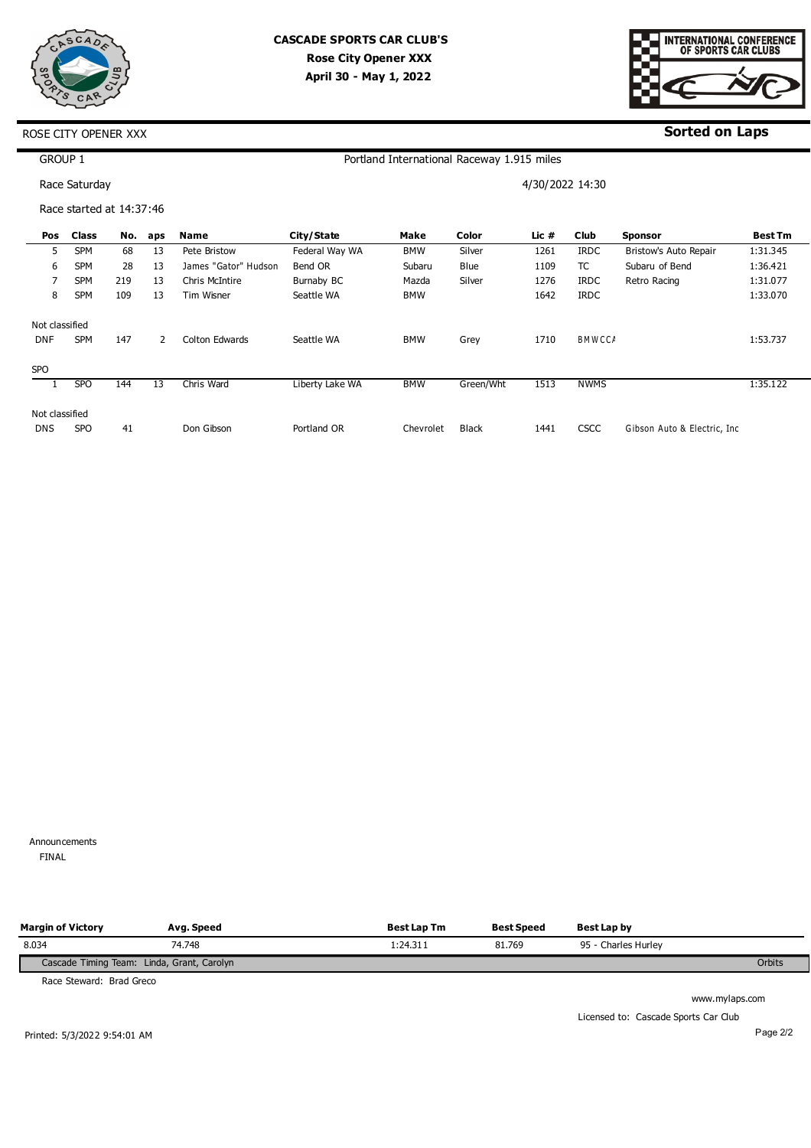



## **Sorted on Laps**

# ROSE CITY OPENER XXX

GROUP 1

Race Saturday

Race started at 14:37:46

| Pos            | <b>Class</b> | No. | aps | Name                 | City/State      | Make       | Color        | Lic # | <b>Club</b> | <b>Sponsor</b>               | <b>Best Tm</b> |
|----------------|--------------|-----|-----|----------------------|-----------------|------------|--------------|-------|-------------|------------------------------|----------------|
| 5.             | <b>SPM</b>   | 68  | 13  | Pete Bristow         | Federal Way WA  | <b>BMW</b> | Silver       | 1261  | <b>IRDC</b> | Bristow's Auto Repair        | 1:31.345       |
| 6              | <b>SPM</b>   | 28  | 13  | James "Gator" Hudson | Bend OR         | Subaru     | Blue         | 1109  | TC          | Subaru of Bend               | 1:36.421       |
|                | <b>SPM</b>   | 219 | 13  | Chris McIntire       | Burnaby BC      | Mazda      | Silver       | 1276  | <b>IRDC</b> | Retro Racing                 | 1:31.077       |
| 8              | <b>SPM</b>   | 109 | 13  | Tim Wisner           | Seattle WA      | BMW        |              | 1642  | <b>IRDC</b> |                              | 1:33.070       |
| Not classified |              |     |     |                      |                 |            |              |       |             |                              |                |
| <b>DNF</b>     | <b>SPM</b>   | 147 | 2   | Colton Edwards       | Seattle WA      | <b>BMW</b> | Grey         | 1710  | BMWCC/      |                              | 1:53.737       |
| <b>SPO</b>     |              |     |     |                      |                 |            |              |       |             |                              |                |
|                | <b>SPO</b>   | 144 | 13  | Chris Ward           | Liberty Lake WA | <b>BMW</b> | Green/Wht    | 1513  | <b>NWMS</b> |                              | 1:35.122       |
| Not classified |              |     |     |                      |                 |            |              |       |             |                              |                |
| <b>DNS</b>     | <b>SPO</b>   | 41  |     | Don Gibson           | Portland OR     | Chevrolet  | <b>Black</b> | 1441  | CSCC        | Gibson Auto & Electric, Inc. |                |

Portland International Raceway 1.915 miles

4/30/2022 14:30

Announcements **FINAL** 

| <b>Margin of Victory</b> | Avg. Speed                                 | <b>Best Lap Tm</b> | <b>Best Speed</b> | Best Lap by         |        |
|--------------------------|--------------------------------------------|--------------------|-------------------|---------------------|--------|
| 8.034                    | 74.748                                     | :24.311            | 81.769            | 95 - Charles Hurley |        |
|                          | Cascade Timing Team: Linda, Grant, Carolyn |                    |                   |                     | Orbits |
|                          |                                            |                    |                   |                     |        |

Race Steward: Brad Greco

Licensed to: Cascade Sports Car Club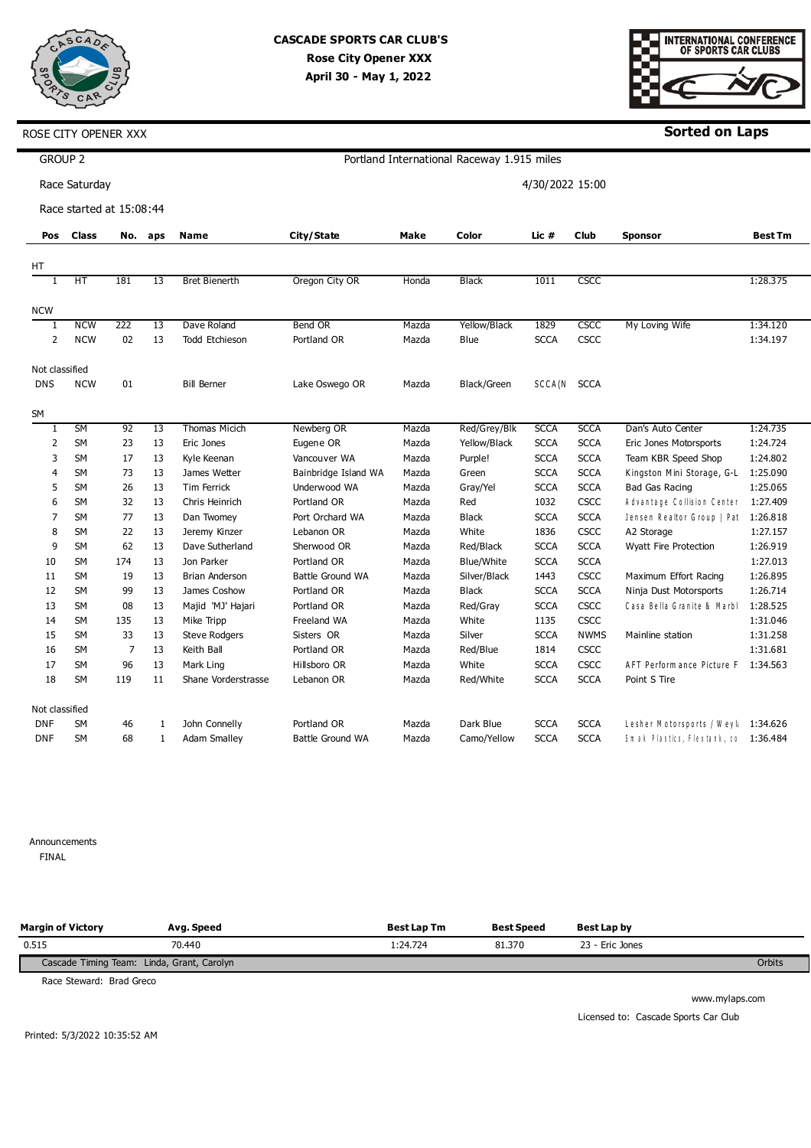



**Sorted on Laps**

| <b>GROUP 2</b> |                          |     |     |                       |                         |       | Portland International Raceway 1.915 miles |                 |             |                                     |                |
|----------------|--------------------------|-----|-----|-----------------------|-------------------------|-------|--------------------------------------------|-----------------|-------------|-------------------------------------|----------------|
|                | Race Saturday            |     |     |                       |                         |       |                                            | 4/30/2022 15:00 |             |                                     |                |
|                | Race started at 15:08:44 |     |     |                       |                         |       |                                            |                 |             |                                     |                |
| Pos            | <b>Class</b>             | No. | aps | Name                  | City/State              | Make  | Color                                      | Lic #           | <b>Club</b> | <b>Sponsor</b>                      | <b>Best Tm</b> |
| HT             |                          |     |     |                       |                         |       |                                            |                 |             |                                     |                |
|                | HT                       | 181 | 13  | <b>Bret Bienerth</b>  | Oregon City OR          | Honda | <b>Black</b>                               | 1011            | CSCC        |                                     | 1:28.375       |
| <b>NCW</b>     |                          |     |     |                       |                         |       |                                            |                 |             |                                     |                |
| 1              | <b>NCW</b>               | 222 | 13  | Dave Roland           | <b>Bend OR</b>          | Mazda | Yellow/Black                               | 1829            | CSCC        | My Loving Wife                      | 1:34.120       |
| 2              | <b>NCW</b>               | 02  | 13  | <b>Todd Etchieson</b> | Portland OR             | Mazda | Blue                                       | <b>SCCA</b>     | CSCC        |                                     | 1:34.197       |
| Not classified |                          |     |     |                       |                         |       |                                            |                 |             |                                     |                |
| <b>DNS</b>     | <b>NCW</b>               | 01  |     | <b>Bill Berner</b>    | Lake Oswego OR          | Mazda | <b>Black/Green</b>                         | SCCA(N          | <b>SCCA</b> |                                     |                |
| SM             |                          |     |     |                       |                         |       |                                            |                 |             |                                     |                |
| 1              | SM                       | 92  | 13  | <b>Thomas Micich</b>  | Newberg OR              | Mazda | Red/Grey/Blk                               | <b>SCCA</b>     | <b>SCCA</b> | Dan's Auto Center                   | 1:24.735       |
| 2              | <b>SM</b>                | 23  | 13  | Eric Jones            | Eugene OR               | Mazda | Yellow/Black                               | <b>SCCA</b>     | <b>SCCA</b> | Eric Jones Motorsports              | 1:24.724       |
| 3              | <b>SM</b>                | 17  | 13  | Kyle Keenan           | Vancouver WA            | Mazda | Purple!                                    | <b>SCCA</b>     | <b>SCCA</b> | Team KBR Speed Shop                 | 1:24.802       |
| 4              | <b>SM</b>                | 73  | 13  | James Wetter          | Bainbridge Island WA    | Mazda | Green                                      | <b>SCCA</b>     | <b>SCCA</b> | Kingston Mini Storage, G-L 1:25.090 |                |
| 5              | <b>SM</b>                | 26  | 13  | <b>Tim Ferrick</b>    | Underwood WA            | Mazda | Gray/Yel                                   | <b>SCCA</b>     | <b>SCCA</b> | Bad Gas Racing                      | 1:25.065       |
| 6              | <b>SM</b>                | 32  | 13  | Chris Heinrich        | Portland OR             | Mazda | Red                                        | 1032            | CSCC        | Advantage Collision Center          | 1:27.409       |
| 7              | <b>SM</b>                | 77  | 13  | Dan Twomey            | Port Orchard WA         | Mazda | <b>Black</b>                               | <b>SCCA</b>     | <b>SCCA</b> | Jensen Realtor Group   Pat 1:26.818 |                |
| 8              | <b>SM</b>                | 22  | 13  | Jeremy Kinzer         | Lebanon OR              | Mazda | White                                      | 1836            | CSCC        | A2 Storage                          | 1:27.157       |
| 9              | <b>SM</b>                | 62  | 13  | Dave Sutherland       | Sherwood OR             | Mazda | Red/Black                                  | <b>SCCA</b>     | <b>SCCA</b> | Wyatt Fire Protection               | 1:26.919       |
| 10             | <b>SM</b>                | 174 | 13  | Jon Parker            | Portland OR             | Mazda | Blue/White                                 | <b>SCCA</b>     | <b>SCCA</b> |                                     | 1:27.013       |
| 11             | <b>SM</b>                | 19  | 13  | <b>Brian Anderson</b> | <b>Battle Ground WA</b> | Mazda | Silver/Black                               | 1443            | CSCC        | Maximum Effort Racing               | 1:26.895       |
| 12             | <b>SM</b>                | 99  | 13  | James Coshow          | Portland OR             | Mazda | Black                                      | <b>SCCA</b>     | <b>SCCA</b> | Ninja Dust Motorsports              | 1:26.714       |
| 13             | <b>SM</b>                | 08  | 13  | Majid 'MJ' Hajari     | Portland OR             | Mazda | Red/Gray                                   | <b>SCCA</b>     | CSCC        | Casa Bella Granite & Marbl          | 1:28.525       |
| 14             | <b>SM</b>                | 135 | 13  | Mike Tripp            | Freeland WA             | Mazda | White                                      | 1135            | <b>CSCC</b> |                                     | 1:31.046       |
| 15             | <b>SM</b>                | 33  | 13  | <b>Steve Rodgers</b>  | Sisters OR              | Mazda | Silver                                     | <b>SCCA</b>     | <b>NWMS</b> | Mainline station                    | 1:31.258       |
| 16             | SM                       | 7   | 13  | Keith Ball            | Portland OR             | Mazda | Red/Blue                                   | 1814            | CSCC        |                                     | 1:31.681       |
| 17             | <b>SM</b>                | 96  | 13  | Mark Ling             | Hillsboro OR            | Mazda | White                                      | <b>SCCA</b>     | CSCC        | AFT Perform ance Picture F          | 1:34.563       |
| 18             | <b>SM</b>                | 119 | 11  | Shane Vorderstrasse   | Lebanon OR              | Mazda | Red/White                                  | <b>SCCA</b>     | <b>SCCA</b> | Point S Tire                        |                |
| Not classified |                          |     |     |                       |                         |       |                                            |                 |             |                                     |                |
| <b>DNF</b>     | <b>SM</b>                | 46  | 1   | John Connelly         | Portland OR             | Mazda | Dark Blue                                  | <b>SCCA</b>     | <b>SCCA</b> | Lesher Motorsports / Weyl; 1:34.626 |                |

Announcements **FINAL** 

DNF

SM

68

1 Adam Smalley

Cascade Timing Team: Linda, Grant, Carolyn **Orbits Margin of Victory**  0.515 **Avg. Speed**  70.440 **Best Lap Tm**  1:24.724 **Best Speed**  81.370 **Best Lap by**  23 - Eric Jones

Mazda

Camo/Yellow

**SCCA** 

**SCCA** 

Battle Ground WA

Race Steward: Brad Greco

www.mylaps.com Licensed to: Cascade Sports Car Club

Smak Plastics, Flextank, co 1:36.484

Printed: 5/3/2022 10:35:52 AM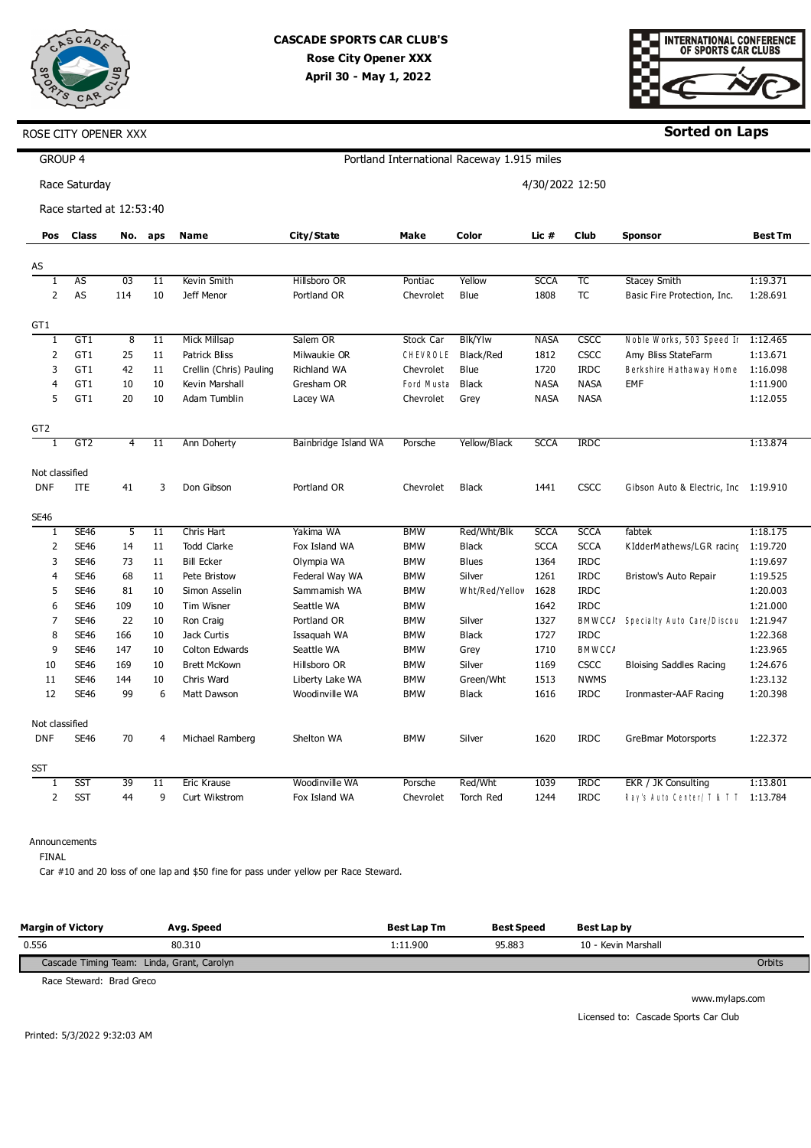

 $\overline{\phantom{0}}$ 



**Sorted on Laps**

| GROUP 4         |                          |                |                 |                         |                      |            | Portland International Raceway 1.915 miles |             |                 |                                      |                |
|-----------------|--------------------------|----------------|-----------------|-------------------------|----------------------|------------|--------------------------------------------|-------------|-----------------|--------------------------------------|----------------|
|                 | Race Saturday            |                |                 |                         |                      |            |                                            |             | 4/30/2022 12:50 |                                      |                |
|                 | Race started at 12:53:40 |                |                 |                         |                      |            |                                            |             |                 |                                      |                |
| Pos             | <b>Class</b>             |                | No. aps         | <b>Name</b>             | City/State           | Make       | Color                                      | Lic #       | Club            | <b>Sponsor</b>                       | <b>Best Tm</b> |
|                 |                          |                |                 |                         |                      |            |                                            |             |                 |                                      |                |
| AS              |                          |                |                 |                         |                      |            |                                            |             |                 |                                      |                |
| -1              | <b>AS</b>                | 03             | $\overline{11}$ | Kevin Smith             | Hillsboro OR         | Pontiac    | Yellow                                     | <b>SCCA</b> | ТC              | <b>Stacey Smith</b>                  | 1:19.371       |
| $\overline{2}$  | AS                       | 114            | 10              | Jeff Menor              | Portland OR          | Chevrolet  | Blue                                       | 1808        | <b>TC</b>       | Basic Fire Protection, Inc.          | 1:28.691       |
| GT1             |                          |                |                 |                         |                      |            |                                            |             |                 |                                      |                |
| $\mathbf{1}$    | GT1                      | $\overline{8}$ | 11              | <b>Mick Millsap</b>     | Salem OR             | Stock Car  | <b>Blk/Ylw</b>                             | <b>NASA</b> | CSCC            | Noble Works, 503 Speed Ir            | 1:12.465       |
| $\overline{2}$  | GT1                      | 25             | 11              | <b>Patrick Bliss</b>    | Milwaukie OR         | CHEVROLE   | Black/Red                                  | 1812        | <b>CSCC</b>     | Amy Bliss StateFarm                  | 1:13.671       |
| 3               | GT1                      | 42             | 11              | Crellin (Chris) Pauling | <b>Richland WA</b>   | Chevrolet  | Blue                                       | 1720        | <b>IRDC</b>     | Berkshire Hathaway Home              | 1:16.098       |
| $\overline{4}$  | GT1                      | 10             | 10              | Kevin Marshall          | Gresham OR           | Ford Musta | <b>Black</b>                               | <b>NASA</b> | <b>NASA</b>     | <b>EMF</b>                           | 1:11.900       |
| 5               | GT1                      | 20             | 10              | Adam Tumblin            | Lacey WA             | Chevrolet  | Grey                                       | <b>NASA</b> | <b>NASA</b>     |                                      | 1:12.055       |
|                 |                          |                |                 |                         |                      |            |                                            |             |                 |                                      |                |
| GT <sub>2</sub> |                          |                |                 |                         |                      |            |                                            |             |                 |                                      |                |
| $\mathbf{1}$    | GT2                      | $\overline{4}$ | 11              | Ann Doherty             | Bainbridge Island WA | Porsche    | Yellow/Black                               | <b>SCCA</b> | <b>IRDC</b>     |                                      | 1:13.874       |
| Not classified  |                          |                |                 |                         |                      |            |                                            |             |                 |                                      |                |
| <b>DNF</b>      | ITE                      | 41             | 3               | Don Gibson              | Portland OR          | Chevrolet  | <b>Black</b>                               | 1441        | <b>CSCC</b>     | Gibson Auto & Electric, Inc 1:19.910 |                |
|                 |                          |                |                 |                         |                      |            |                                            |             |                 |                                      |                |
| <b>SE46</b>     |                          |                |                 |                         |                      |            |                                            |             |                 |                                      |                |
| 1               | <b>SE46</b>              | $\overline{5}$ | $\overline{11}$ | Chris Hart              | Yakima WA            | <b>BMW</b> | Red/Wht/Blk                                | <b>SCCA</b> | <b>SCCA</b>     | fabtek                               | 1:18.175       |
| $\overline{2}$  | <b>SE46</b>              | 14             | 11              | <b>Todd Clarke</b>      | Fox Island WA        | <b>BMW</b> | <b>Black</b>                               | <b>SCCA</b> | <b>SCCA</b>     | KIdderMathews/LGR racing             | 1:19.720       |
| 3               | <b>SE46</b>              | 73             | 11              | <b>Bill Ecker</b>       | Olympia WA           | <b>BMW</b> | <b>Blues</b>                               | 1364        | <b>IRDC</b>     |                                      | 1:19.697       |
| $\overline{4}$  | <b>SE46</b>              | 68             | 11              | Pete Bristow            | Federal Way WA       | <b>BMW</b> | Silver                                     | 1261        | <b>IRDC</b>     | Bristow's Auto Repair                | 1:19.525       |
| 5               | <b>SE46</b>              | 81             | 10              | Simon Asselin           | Sammamish WA         | <b>BMW</b> | Wht/Red/Yellov                             | 1628        | <b>IRDC</b>     |                                      | 1:20.003       |
| 6               | <b>SE46</b>              | 109            | 10              | Tim Wisner              | Seattle WA           | <b>BMW</b> |                                            | 1642        | <b>IRDC</b>     |                                      | 1:21.000       |
| 7               | <b>SE46</b>              | 22             | 10              | Ron Craig               | Portland OR          | <b>BMW</b> | Silver                                     | 1327        |                 | BMWCC/ Specialty Auto Care/Discou    | 1:21.947       |
| 8               | <b>SE46</b>              | 166            | 10              | Jack Curtis             | Issaquah WA          | <b>BMW</b> | <b>Black</b>                               | 1727        | <b>IRDC</b>     |                                      | 1:22.368       |
| 9               | <b>SE46</b>              | 147            | 10              | Colton Edwards          | Seattle WA           | <b>BMW</b> | Grey                                       | 1710        | <b>BMWCCA</b>   |                                      | 1:23.965       |
| 10              | <b>SE46</b>              | 169            | 10              | <b>Brett McKown</b>     | Hillsboro OR         | <b>BMW</b> | Silver                                     | 1169        | <b>CSCC</b>     | <b>Bloising Saddles Racing</b>       | 1:24.676       |
| 11              | <b>SE46</b>              | 144            | 10              | Chris Ward              | Liberty Lake WA      | <b>BMW</b> | Green/Wht                                  | 1513        | <b>NWMS</b>     |                                      | 1:23.132       |
| 12              | <b>SE46</b>              | 99             | 6               | Matt Dawson             | Woodinville WA       | <b>BMW</b> | <b>Black</b>                               | 1616        | <b>IRDC</b>     | Ironmaster-AAF Racing                | 1:20.398       |
|                 |                          |                |                 |                         |                      |            |                                            |             |                 |                                      |                |
| Not classified  |                          |                |                 |                         |                      |            |                                            |             |                 |                                      |                |
| <b>DNF</b>      | <b>SE46</b>              | 70             | 4               | Michael Ramberg         | Shelton WA           | <b>BMW</b> | Silver                                     | 1620        | <b>IRDC</b>     | GreBmar Motorsports                  | 1:22.372       |
| <b>SST</b>      |                          |                |                 |                         |                      |            |                                            |             |                 |                                      |                |
|                 | <b>SST</b>               | 39             | 11              | Eric Krause             | Woodinville WA       | Porsche    | Red/Wht                                    | 1039        | <b>IRDC</b>     | EKR / JK Consulting                  | 1:13.801       |
| $\overline{2}$  | <b>SST</b>               | 44             | 9               | Curt Wikstrom           | Fox Island WA        | Chevrolet  | Torch Red                                  | 1244        | <b>IRDC</b>     | Ray's Auto Center/ T & T T 1:13.784  |                |
|                 |                          |                |                 |                         |                      |            |                                            |             |                 |                                      |                |

Announcements

FINAL

Car #10 and 20 loss of one lap and \$50 fine for pass under yellow per Race Steward.

| <b>Margin of Victory</b>                   | Avg. Speed | <b>Best Lap Tm</b> | <b>Best Speed</b> | Best Lap by         |        |
|--------------------------------------------|------------|--------------------|-------------------|---------------------|--------|
| 0.556                                      | 80.310     | :11.900            | 95.883            | 10 - Kevin Marshall |        |
| Cascade Timing Team: Linda, Grant, Carolyn |            |                    |                   |                     | Orbits |

Race Steward: Brad Greco

www.mylaps.com Licensed to: Cascade Sports Car Club

Printed: 5/3/2022 9:32:03 AM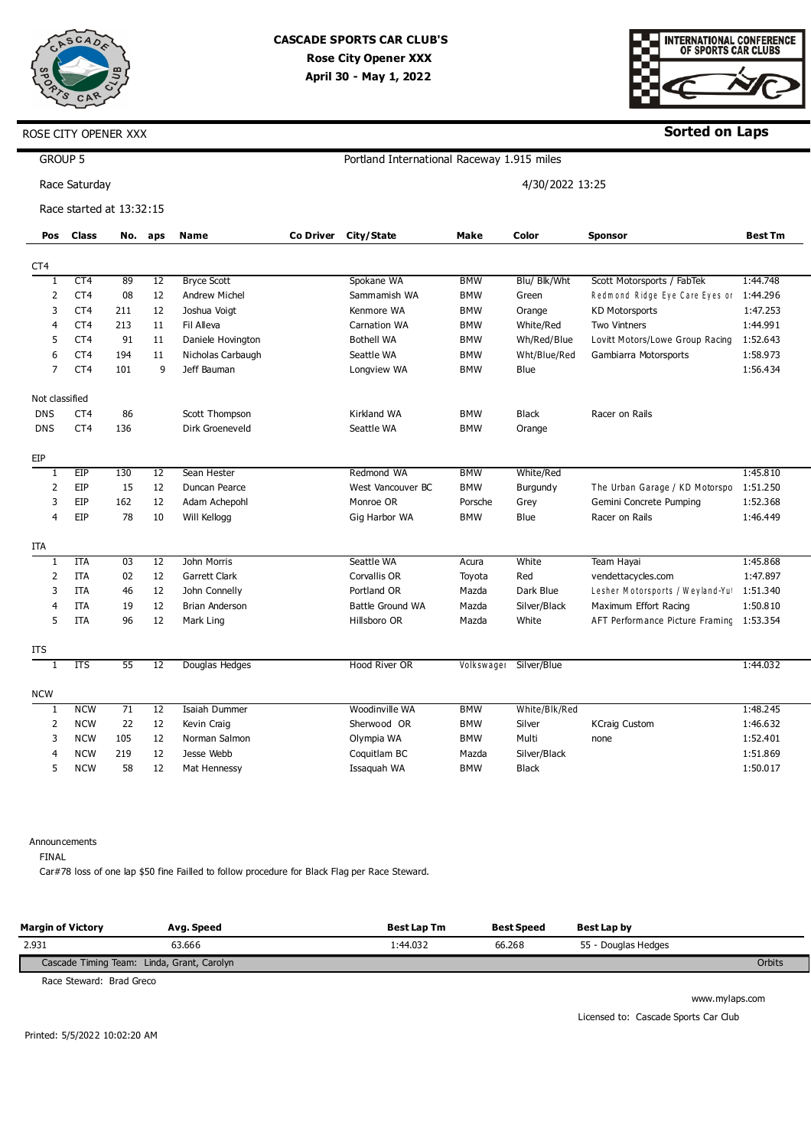

# **CASCADE SPORTS CAR CLUB'S Rose City Opener XXX April 30 - May 1, 2022**



## **Sorted on Laps**

#### ROSE CITY OPENER XXX

Race Saturday

Race started at 13:32:15

| Pos             | <b>Class</b>    | No. | aps | <b>Name</b>           | <b>Co Driver</b> | City/State              | <b>Make</b> | Color         | <b>Sponsor</b>                           | <b>Best Tm</b> |
|-----------------|-----------------|-----|-----|-----------------------|------------------|-------------------------|-------------|---------------|------------------------------------------|----------------|
| CT <sub>4</sub> |                 |     |     |                       |                  |                         |             |               |                                          |                |
| 1               | CT <sub>4</sub> | 89  | 12  | <b>Bryce Scott</b>    |                  | Spokane WA              | <b>BMW</b>  | Blu/ Blk/Wht  | Scott Motorsports / FabTek               | 1:44.748       |
| 2               | CT4             | 08  | 12  | <b>Andrew Michel</b>  |                  | Sammamish WA            | <b>BMW</b>  | Green         | Redmond Ridge Eye Care Eyes or           | 1:44.296       |
| 3               | CT <sub>4</sub> | 211 | 12  | Joshua Voigt          |                  | Kenmore WA              | <b>BMW</b>  | Orange        | <b>KD Motorsports</b>                    | 1:47.253       |
| 4               | CT <sub>4</sub> | 213 | 11  | Fil Alleva            |                  | <b>Carnation WA</b>     | <b>BMW</b>  | White/Red     | <b>Two Vintners</b>                      | 1:44.991       |
| 5               | CT <sub>4</sub> | 91  | 11  | Daniele Hovington     |                  | <b>Bothell WA</b>       | <b>BMW</b>  | Wh/Red/Blue   | Lovitt Motors/Lowe Group Racing          | 1:52.643       |
| 6               | CT <sub>4</sub> | 194 | 11  | Nicholas Carbaugh     |                  | Seattle WA              | <b>BMW</b>  | Wht/Blue/Red  | Gambiarra Motorsports                    | 1:58.973       |
| $\overline{7}$  | CT <sub>4</sub> | 101 | 9   | Jeff Bauman           |                  | Longview WA             | <b>BMW</b>  | Blue          |                                          | 1:56.434       |
| Not classified  |                 |     |     |                       |                  |                         |             |               |                                          |                |
| <b>DNS</b>      | CT <sub>4</sub> | 86  |     | Scott Thompson        |                  | Kirkland WA             | <b>BMW</b>  | <b>Black</b>  | Racer on Rails                           |                |
| <b>DNS</b>      | CT <sub>4</sub> | 136 |     | Dirk Groeneveld       |                  | Seattle WA              | <b>BMW</b>  | Orange        |                                          |                |
| EIP             |                 |     |     |                       |                  |                         |             |               |                                          |                |
| 1               | EIP             | 130 | 12  | Sean Hester           |                  | Redmond WA              | <b>BMW</b>  | White/Red     |                                          | 1:45.810       |
| 2               | EIP             | 15  | 12  | Duncan Pearce         |                  | West Vancouver BC       | <b>BMW</b>  | Burgundy      | The Urban Garage / KD Motorspo           | 1:51.250       |
| 3               | EIP             | 162 | 12  | Adam Achepohl         |                  | Monroe OR               | Porsche     | Grey          | Gemini Concrete Pumping                  | 1:52.368       |
| $\overline{4}$  | EIP             | 78  | 10  | Will Kellogg          |                  | Gig Harbor WA           | <b>BMW</b>  | Blue          | Racer on Rails                           | 1:46.449       |
| ITA             |                 |     |     |                       |                  |                         |             |               |                                          |                |
| 1               | <b>ITA</b>      | 03  | 12  | John Morris           |                  | Seattle WA              | Acura       | White         | Team Hayai                               | 1:45.868       |
| $\overline{2}$  | <b>ITA</b>      | 02  | 12  | <b>Garrett Clark</b>  |                  | Corvallis OR            | Toyota      | Red           | vendettacycles.com                       | 1:47.897       |
| 3               | <b>ITA</b>      | 46  | 12  | John Connelly         |                  | Portland OR             | Mazda       | Dark Blue     | Lesher Motorsports / Weyland-Yu          | 1:51.340       |
| 4               | ITA             | 19  | 12  | <b>Brian Anderson</b> |                  | <b>Battle Ground WA</b> | Mazda       | Silver/Black  | Maximum Effort Racing                    | 1:50.810       |
| 5               | <b>ITA</b>      | 96  | 12  | Mark Ling             |                  | Hillsboro OR            | Mazda       | White         | AFT Performance Picture Framinc 1:53.354 |                |
| <b>ITS</b>      |                 |     |     |                       |                  |                         |             |               |                                          |                |
| 1               | <b>ITS</b>      | 55  | 12  | Douglas Hedges        |                  | Hood River OR           | Volkswager  | Silver/Blue   |                                          | 1:44.032       |
| <b>NCW</b>      |                 |     |     |                       |                  |                         |             |               |                                          |                |
| 1               | <b>NCW</b>      | 71  | 12  | Isaiah Dummer         |                  | Woodinville WA          | <b>BMW</b>  | White/Blk/Red |                                          | 1:48.245       |
| $\overline{2}$  | <b>NCW</b>      | 22  | 12  | Kevin Craig           |                  | Sherwood OR             | <b>BMW</b>  | Silver        | <b>KCraig Custom</b>                     | 1:46.632       |
| 3               | <b>NCW</b>      | 105 | 12  | Norman Salmon         |                  | Olympia WA              | <b>BMW</b>  | Multi         | none                                     | 1:52.401       |
| 4               | <b>NCW</b>      | 219 | 12  | Jesse Webb            |                  | Coquitlam BC            | Mazda       | Silver/Black  |                                          | 1:51.869       |
| 5               | <b>NCW</b>      | 58  | 12  | Mat Hennessy          |                  | Issaquah WA             | <b>BMW</b>  | <b>Black</b>  |                                          | 1:50.017       |

Portland International Raceway 1.915 miles

4/30/2022 13:25

Announcements

FINAL

Car#78 loss of one lap \$50 fine Failled to follow procedure for Black Flag per Race Steward.

| <b>Margin of Victory</b>                   | Ava. Speed | <b>Best Lap Tm</b> | <b>Best Speed</b> | Best Lap by         |        |
|--------------------------------------------|------------|--------------------|-------------------|---------------------|--------|
| 2.931                                      | 63.666     | 1:44.032           | 66.268            | 55 - Douglas Hedges |        |
| Cascade Timing Team: Linda, Grant, Carolyn |            |                    |                   |                     | Orbits |

Race Steward: Brad Greco

www.mylaps.com Licensed to: Cascade Sports Car Club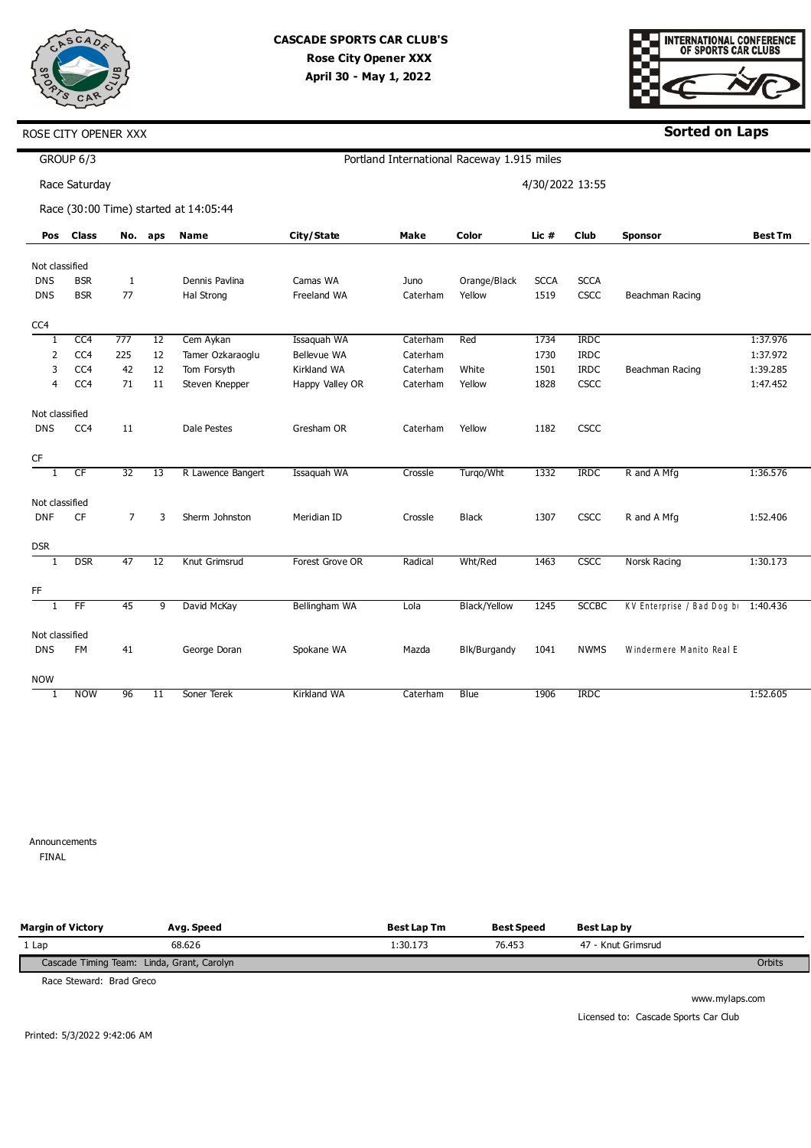



## **Sorted on Laps**

GROUP 6/3

Race Saturday

ROSE CITY OPENER XXX

Portland International Raceway 1.915 miles 4/30/2022 13:55

Race (30:00 Time) started at 14:05:44

|                 | Pos Class       |                | No. aps | <b>Name</b>       | City/State         | <b>Make</b> | Color               | Lic $#$     | <b>Club</b>  | <b>Sponsor</b>                      | <b>Best Tm</b> |
|-----------------|-----------------|----------------|---------|-------------------|--------------------|-------------|---------------------|-------------|--------------|-------------------------------------|----------------|
| Not classified  |                 |                |         |                   |                    |             |                     |             |              |                                     |                |
| <b>DNS</b>      | <b>BSR</b>      | $\mathbf{1}$   |         | Dennis Pavlina    | Camas WA           | Juno        | Orange/Black        | <b>SCCA</b> | <b>SCCA</b>  |                                     |                |
| <b>DNS</b>      | <b>BSR</b>      | 77             |         |                   | Freeland WA        | Caterham    | Yellow              | 1519        | <b>CSCC</b>  |                                     |                |
|                 |                 |                |         | Hal Strong        |                    |             |                     |             |              | Beachman Racing                     |                |
| CC <sub>4</sub> |                 |                |         |                   |                    |             |                     |             |              |                                     |                |
| 1               | CC4             | 777            | 12      | Cem Aykan         | Issaquah WA        | Caterham    | Red                 | 1734        | <b>IRDC</b>  |                                     | 1:37.976       |
| 2               | CC4             | 225            | 12      | Tamer Ozkaraoglu  | <b>Bellevue WA</b> | Caterham    |                     | 1730        | <b>IRDC</b>  |                                     | 1:37.972       |
| 3               | CC4             | 42             | 12      | Tom Forsyth       | Kirkland WA        | Caterham    | White               | 1501        | <b>IRDC</b>  | Beachman Racing                     | 1:39.285       |
| $\overline{4}$  | CC4             | 71             | 11      | Steven Knepper    | Happy Valley OR    | Caterham    | Yellow              | 1828        | CSCC         |                                     | 1:47.452       |
| Not classified  |                 |                |         |                   |                    |             |                     |             |              |                                     |                |
| <b>DNS</b>      | CC <sub>4</sub> | 11             |         | Dale Pestes       | Gresham OR         | Caterham    | Yellow              | 1182        | CSCC         |                                     |                |
| CF              |                 |                |         |                   |                    |             |                     |             |              |                                     |                |
| 1               | CF              | 32             | 13      | R Lawence Bangert | Issaquah WA        | Crossle     | Turgo/Wht           | 1332        | <b>IRDC</b>  | R and A Mfg                         | 1:36.576       |
|                 |                 |                |         |                   |                    |             |                     |             |              |                                     |                |
| Not classified  |                 |                |         |                   |                    |             |                     |             |              |                                     |                |
| <b>DNF</b>      | CF              | $\overline{7}$ | 3       | Sherm Johnston    | Meridian ID        | Crossle     | <b>Black</b>        | 1307        | CSCC         | R and A Mfg                         | 1:52.406       |
| <b>DSR</b>      |                 |                |         |                   |                    |             |                     |             |              |                                     |                |
| -1              | <b>DSR</b>      | 47             | 12      | Knut Grimsrud     | Forest Grove OR    | Radical     | Wht/Red             | 1463        | CSCC         | Norsk Racing                        | 1:30.173       |
| FF              |                 |                |         |                   |                    |             |                     |             |              |                                     |                |
| 1               | FF              | 45             | 9       | David McKay       | Bellingham WA      | Lola        | <b>Black/Yellow</b> | 1245        | <b>SCCBC</b> | KV Enterprise / Bad Dog bi 1:40.436 |                |
|                 |                 |                |         |                   |                    |             |                     |             |              |                                     |                |
| Not classified  |                 |                |         |                   |                    |             |                     |             |              |                                     |                |
| <b>DNS</b>      | <b>FM</b>       | 41             |         | George Doran      | Spokane WA         | Mazda       | Blk/Burgandy        | 1041        | <b>NWMS</b>  | Windermere Manito Real E            |                |
| <b>NOW</b>      |                 |                |         |                   |                    |             |                     |             |              |                                     |                |
| 1               | <b>NOW</b>      | 96             | 11      | Soner Terek       | Kirkland WA        | Caterham    | <b>Blue</b>         | 1906        | <b>IRDC</b>  |                                     | 1:52.605       |

Announcements

**FINAL** 

| <b>Margin of Victory</b>                   | Avg. Speed | <b>Best Lap Tm</b> | <b>Best Speed</b> | Best Lap by        |        |
|--------------------------------------------|------------|--------------------|-------------------|--------------------|--------|
| 1 Lap                                      | 68.626     | l:30.173           | 76.453            | 47 - Knut Grimsrud |        |
| Cascade Timing Team: Linda, Grant, Carolyn |            |                    |                   |                    | Orbits |

Race Steward: Brad Greco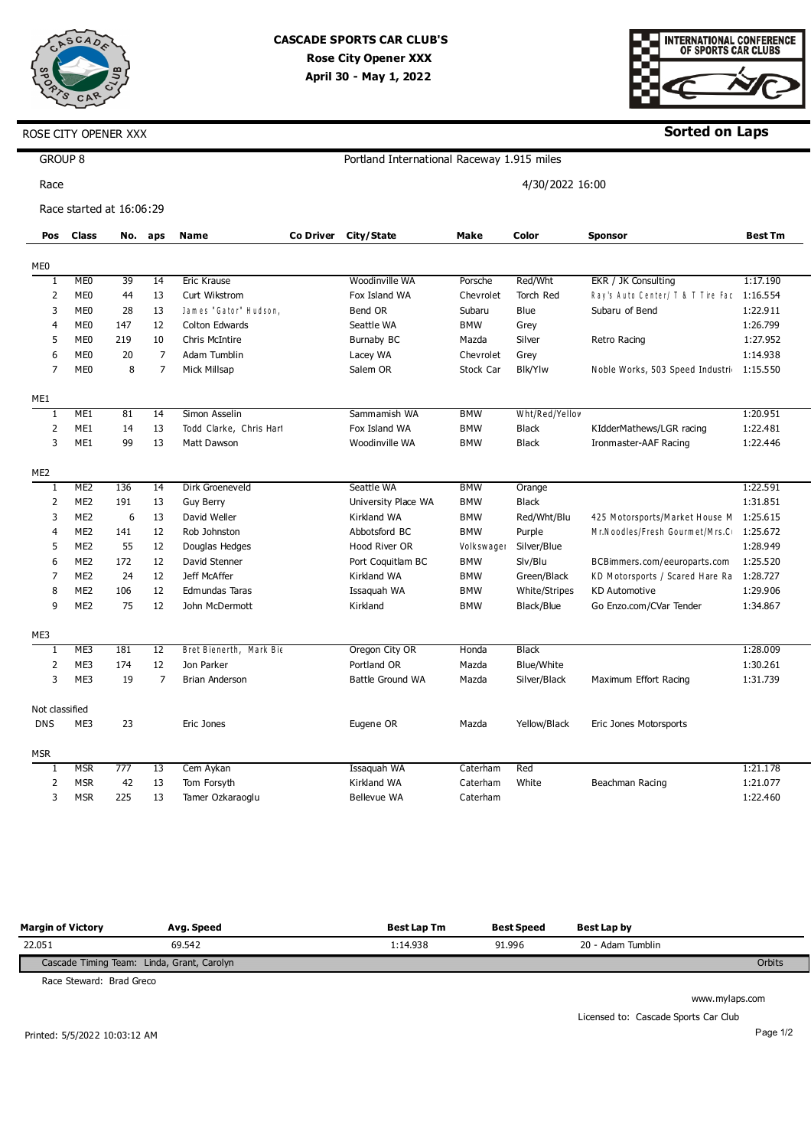

# **CASCADE SPORTS CAR CLUB'S Rose City Opener XXX April 30 - May 1, 2022**



**Sorted on Laps**

#### ROSE CITY OPENER XXX

Race started at 16:06:29

GROUP 8 Race

Portland International Raceway 1.915 miles

4/30/2022 16:00

| Pos             | <b>Class</b>    | No. | aps             | Name                    | <b>Co Driver</b> | City/State              | <b>Make</b> | Color            | <b>Sponsor</b>                             | <b>Best Tm</b> |
|-----------------|-----------------|-----|-----------------|-------------------------|------------------|-------------------------|-------------|------------------|--------------------------------------------|----------------|
| ME <sub>0</sub> |                 |     |                 |                         |                  |                         |             |                  |                                            |                |
| 1               | ME <sub>0</sub> | 39  | 14              | <b>Eric Krause</b>      |                  | Woodinville WA          | Porsche     | Red/Wht          | EKR / JK Consulting                        | 1:17.190       |
| 2               | ME <sub>0</sub> | 44  | 13              | Curt Wikstrom           |                  | Fox Island WA           | Chevrolet   | <b>Torch Red</b> | Ray's Auto Center/ T & T Tire Fac 1:16.554 |                |
| 3               | ME <sub>0</sub> | 28  | 13              | James "Gator" Hudson,   |                  | Bend OR                 | Subaru      | Blue             | Subaru of Bend                             | 1:22.911       |
| $\overline{4}$  | ME <sub>0</sub> | 147 | 12              | <b>Colton Edwards</b>   |                  | Seattle WA              | <b>BMW</b>  | Grey             |                                            | 1:26.799       |
| 5               | ME <sub>0</sub> | 219 | 10              | Chris McIntire          |                  | <b>Burnaby BC</b>       | Mazda       | Silver           | Retro Racing                               | 1:27.952       |
| 6               | ME <sub>0</sub> | 20  | $\overline{7}$  | Adam Tumblin            |                  | Lacey WA                | Chevrolet   | Grey             |                                            | 1:14.938       |
| $\overline{7}$  | ME <sub>0</sub> | 8   | $\overline{7}$  | <b>Mick Millsap</b>     |                  | Salem OR                | Stock Car   | <b>Blk/Ylw</b>   | Noble Works, 503 Speed Industri            | 1:15.550       |
| ME1             |                 |     |                 |                         |                  |                         |             |                  |                                            |                |
| 1               | ME1             | 81  | 14              | Simon Asselin           |                  | Sammamish WA            | <b>BMW</b>  | Wht/Red/Yellov   |                                            | 1:20.951       |
| 2               | ME1             | 14  | 13              | Todd Clarke, Chris Hart |                  | Fox Island WA           | <b>BMW</b>  | <b>Black</b>     | KIdderMathews/LGR racing                   | 1:22.481       |
| 3               | ME1             | 99  | 13              | <b>Matt Dawson</b>      |                  | Woodinville WA          | <b>BMW</b>  | <b>Black</b>     | Ironmaster-AAF Racing                      | 1:22.446       |
| ME <sub>2</sub> |                 |     |                 |                         |                  |                         |             |                  |                                            |                |
| 1               | ME <sub>2</sub> | 136 | 14              | Dirk Groeneveld         |                  | Seattle WA              | <b>BMW</b>  | Orange           |                                            | 1:22.591       |
| 2               | ME <sub>2</sub> | 191 | 13              | <b>Guy Berry</b>        |                  | University Place WA     | <b>BMW</b>  | <b>Black</b>     |                                            | 1:31.851       |
| 3               | ME <sub>2</sub> | 6   | 13              | David Weller            |                  | Kirkland WA             | <b>BMW</b>  | Red/Wht/Blu      | 425 Motorsports/Market House M             | 1:25.615       |
| $\overline{4}$  | ME <sub>2</sub> | 141 | 12              | Rob Johnston            |                  | Abbotsford BC           | <b>BMW</b>  | Purple           | Mr.Noodles/Fresh Gourmet/Mrs.C             | 1:25.672       |
| 5               | ME <sub>2</sub> | 55  | 12              | Douglas Hedges          |                  | Hood River OR           | Volkswager  | Silver/Blue      |                                            | 1:28.949       |
| 6               | ME <sub>2</sub> | 172 | 12              | David Stenner           |                  | Port Coquitlam BC       | <b>BMW</b>  | Slv/Blu          | BCBimmers.com/eeuroparts.com               | 1:25.520       |
| 7               | ME <sub>2</sub> | 24  | 12              | Jeff McAffer            |                  | Kirkland WA             | <b>BMW</b>  | Green/Black      | KD Motorsports / Scared Hare Ra 1:28.727   |                |
| 8               | ME <sub>2</sub> | 106 | 12              | <b>Edmundas Taras</b>   |                  | Issaquah WA             | <b>BMW</b>  | White/Stripes    | <b>KD Automotive</b>                       | 1:29.906       |
| 9               | ME <sub>2</sub> | 75  | 12              | John McDermott          |                  | Kirkland                | <b>BMW</b>  | Black/Blue       | Go Enzo.com/CVar Tender                    | 1:34.867       |
| ME3             |                 |     |                 |                         |                  |                         |             |                  |                                            |                |
| -1              | ME3             | 181 | $\overline{12}$ | Bret Bienerth, Mark Bie |                  | Oregon City OR          | Honda       | <b>Black</b>     |                                            | 1:28.009       |
| 2               | ME3             | 174 | 12              | Jon Parker              |                  | Portland OR             | Mazda       | Blue/White       |                                            | 1:30.261       |
| 3               | ME3             | 19  | $\overline{7}$  | <b>Brian Anderson</b>   |                  | <b>Battle Ground WA</b> | Mazda       | Silver/Black     | Maximum Effort Racing                      | 1:31.739       |
| Not classified  |                 |     |                 |                         |                  |                         |             |                  |                                            |                |
| <b>DNS</b>      | ME3             | 23  |                 | Eric Jones              |                  | Eugene OR               | Mazda       | Yellow/Black     | Eric Jones Motorsports                     |                |
|                 |                 |     |                 |                         |                  |                         |             |                  |                                            |                |

| <b>MSR</b> |            |     |    |                  |             |          |       |                 |          |
|------------|------------|-----|----|------------------|-------------|----------|-------|-----------------|----------|
|            | <b>MSR</b> | 777 |    | Cem Avkan        | Issaguah WA | Caterham | Red   |                 | 1:21.178 |
| <u>.</u>   | <b>MSR</b> | -42 |    | Tom Forsyth      | Kirkland WA | Caterham | White | Beachman Racing | 1:21.077 |
|            | <b>MSR</b> | 225 | 13 | Tamer Ozkaraoglu | Bellevue WA | Caterham |       |                 | 1:22.460 |

| <b>Margin of Victory</b>                   | Avg. Speed | <b>Best Lap Tm</b> | <b>Best Speed</b> | Best Lap by       |  |  |
|--------------------------------------------|------------|--------------------|-------------------|-------------------|--|--|
| 22.051                                     | 69.542     | 1:14.938           | 91.996            | 20 - Adam Tumblin |  |  |
| Cascade Timing Team: Linda, Grant, Carolyn |            |                    |                   |                   |  |  |

Race Steward: Brad Greco

Licensed to: Cascade Sports Car Club

Printed: 5/5/2022 10:03:12 AM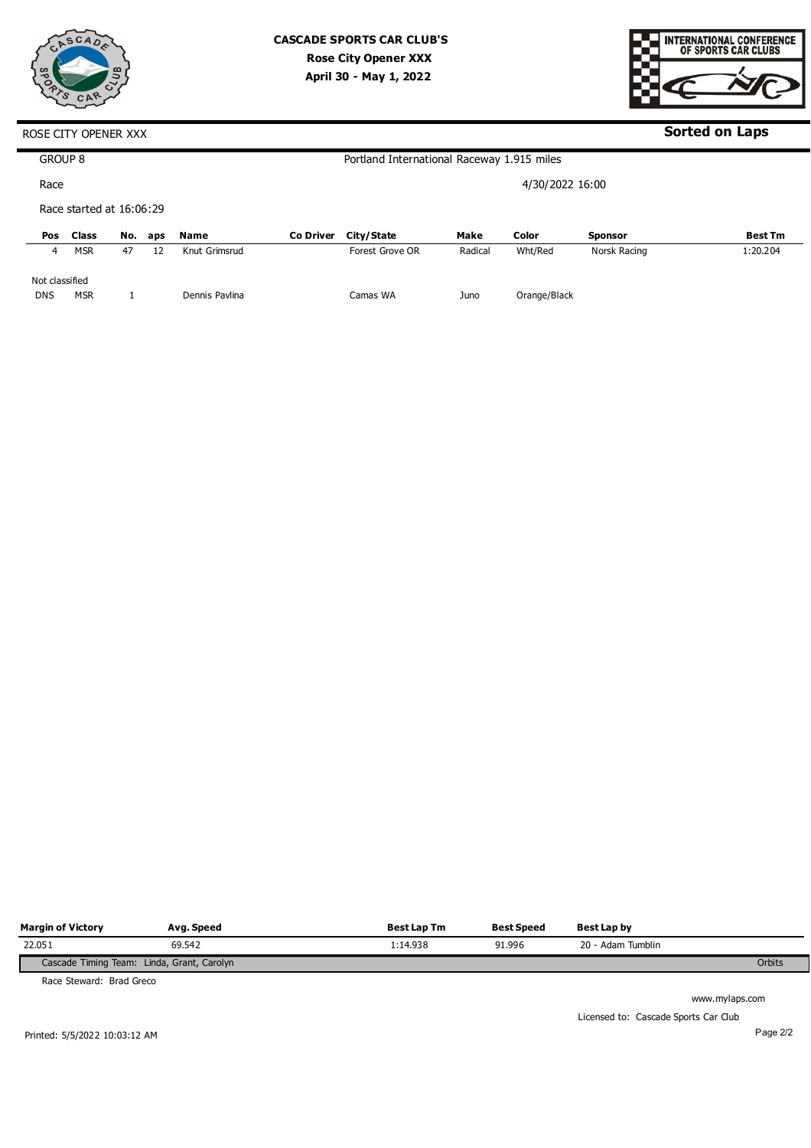



### **Sorted on Laps**

#### **Pos Class**  4 MSR **No.**  47 **Laps**  12 **Name**  Knut Grimsrud **Co Driver City/State**  Forest Grove OR **Make**  Radical **Color**  Wht/Red **Sponsor**  Norsk Racing **Best Tm**  1:20.204 GROUP 8 Race Race started at 16:06:29 Portland International Raceway 1.915 miles 4/30/2022 16:00

Juno

Orange/Black

Camas WA

| Not classified |     |  |
|----------------|-----|--|
| <b>DNS</b>     | MSR |  |

Dennis Pavlina

| <b>Margin of Victory</b>                   | Avg. Speed | <b>Best Lap Tm</b> | <b>Best Speed</b> | <b>Best Lap by</b> |        |
|--------------------------------------------|------------|--------------------|-------------------|--------------------|--------|
| 22.051                                     | 69.542     | 1:14.938           | 91.996            | 20 - Adam Tumblin  |        |
| Cascade Timing Team: Linda, Grant, Carolyn |            |                    |                   |                    | Orbits |
|                                            |            |                    |                   |                    |        |

Race Steward: Brad Greco

 $\mathbf I$ 

Printed: 5/5/2022 10:03:12 AM

Licensed to: Cascade Sports Car Club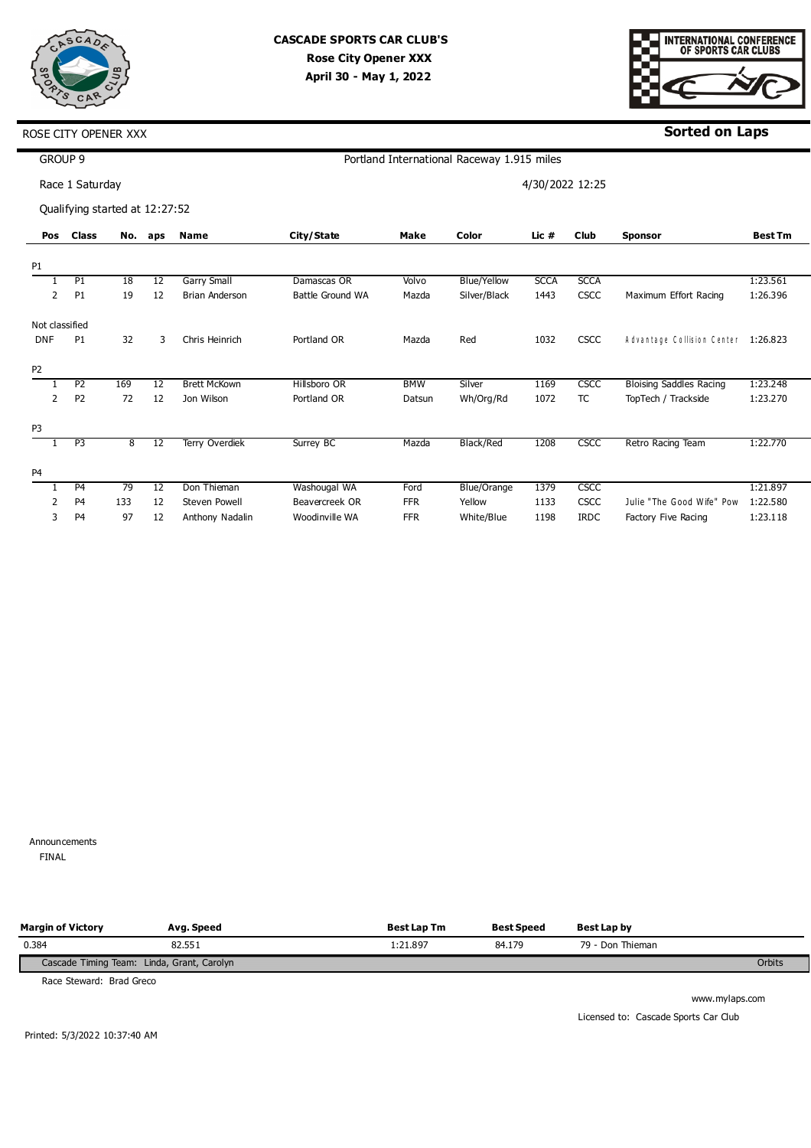



**Sorted on Laps**

#### ROSE CITY OPENER XXX

| GROUP <sub>9</sub> |                                |     |                 |                       | Portland International Raceway 1.915 miles |                 |                    |             |             |                                     |                |  |
|--------------------|--------------------------------|-----|-----------------|-----------------------|--------------------------------------------|-----------------|--------------------|-------------|-------------|-------------------------------------|----------------|--|
|                    | Race 1 Saturday                |     |                 |                       |                                            | 4/30/2022 12:25 |                    |             |             |                                     |                |  |
|                    | Qualifying started at 12:27:52 |     |                 |                       |                                            |                 |                    |             |             |                                     |                |  |
| <b>Pos</b>         | <b>Class</b>                   | No. | aps             | <b>Name</b>           | City/State                                 | Make            | Color              | Lic #       | <b>Club</b> | <b>Sponsor</b>                      | <b>Best Tm</b> |  |
| <b>P1</b>          |                                |     |                 |                       |                                            |                 |                    |             |             |                                     |                |  |
|                    | P1                             | 18  | 12              | <b>Garry Small</b>    | Damascas OR                                | Volvo           | <b>Blue/Yellow</b> | <b>SCCA</b> | <b>SCCA</b> |                                     | 1:23.561       |  |
| 2                  | P <sub>1</sub>                 | 19  | 12              | <b>Brian Anderson</b> | <b>Battle Ground WA</b>                    | Mazda           | Silver/Black       | 1443        | <b>CSCC</b> | Maximum Effort Racing               | 1:26.396       |  |
| Not classified     |                                |     |                 |                       |                                            |                 |                    |             |             |                                     |                |  |
| <b>DNF</b>         | P <sub>1</sub>                 | 32  | 3               | Chris Heinrich        | Portland OR                                | Mazda           | Red                | 1032        | CSCC        | Advantage Collision Center 1:26.823 |                |  |
| P <sub>2</sub>     |                                |     |                 |                       |                                            |                 |                    |             |             |                                     |                |  |
|                    | P <sub>2</sub>                 | 169 | $\overline{12}$ | <b>Brett McKown</b>   | Hillsboro OR                               | <b>BMW</b>      | Silver             | 1169        | <b>CSCC</b> | <b>Bloising Saddles Racing</b>      | 1:23.248       |  |
| 2                  | P <sub>2</sub>                 | 72  | 12              | Jon Wilson            | Portland OR                                | Datsun          | Wh/Org/Rd          | 1072        | <b>TC</b>   | TopTech / Trackside                 | 1:23.270       |  |
| P <sub>3</sub>     |                                |     |                 |                       |                                            |                 |                    |             |             |                                     |                |  |
|                    | P <sub>3</sub>                 | 8   | 12              | Terry Overdiek        | Surrey BC                                  | Mazda           | <b>Black/Red</b>   | 1208        | CSCC        | Retro Racing Team                   | 1:22.770       |  |
| P <sub>4</sub>     |                                |     |                 |                       |                                            |                 |                    |             |             |                                     |                |  |
|                    | P <sub>4</sub>                 | 79  | 12              | Don Thieman           | Washougal WA                               | Ford            | Blue/Orange        | 1379        | <b>CSCC</b> |                                     | 1:21.897       |  |
| 2                  | P <sub>4</sub>                 | 133 | 12              | Steven Powell         | Beavercreek OR                             | <b>FFR</b>      | Yellow             | 1133        | <b>CSCC</b> | Julie "The Good Wife" Pow           | 1:22.580       |  |
| 3                  | P <sub>4</sub>                 | 97  | 12              | Anthony Nadalin       | Woodinville WA                             | <b>FFR</b>      | White/Blue         | 1198        | <b>IRDC</b> | Factory Five Racing                 | 1:23.118       |  |
|                    |                                |     |                 |                       |                                            |                 |                    |             |             |                                     |                |  |

Announcements 0 FINAL

| <b>Margin of Victory</b>                   | Avg. Speed | <b>Best Lap Tm</b> | <b>Best Speed</b> | Best Lap by      |        |
|--------------------------------------------|------------|--------------------|-------------------|------------------|--------|
| 0.384                                      | 82.551     | 1:21.897           | 84.179            | 79 - Don Thieman |        |
| Cascade Timing Team: Linda, Grant, Carolyn |            |                    |                   |                  | Orbits |

Race Steward: Brad Greco

www.mylaps.com Licensed to: Cascade Sports Car Club

Printed: 5/3/2022 10:37:40 AM